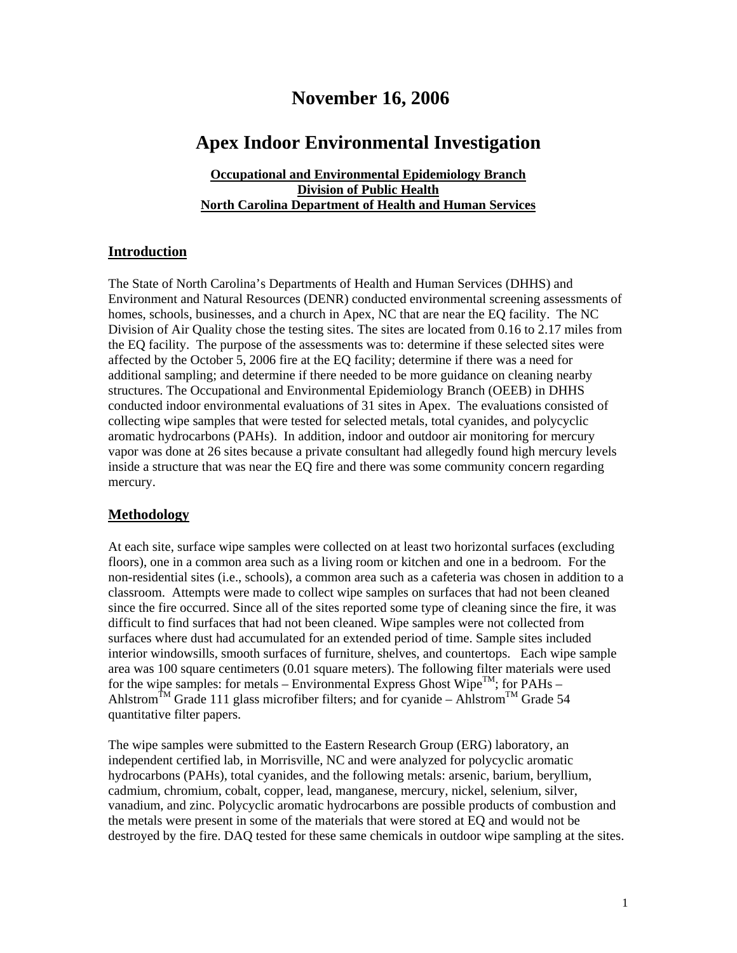## **November 16, 2006**

## **Apex Indoor Environmental Investigation**

#### **Occupational and Environmental Epidemiology Branch Division of Public Health North Carolina Department of Health and Human Services**

#### **Introduction**

The State of North Carolina's Departments of Health and Human Services (DHHS) and Environment and Natural Resources (DENR) conducted environmental screening assessments of homes, schools, businesses, and a church in Apex, NC that are near the EQ facility. The NC Division of Air Quality chose the testing sites. The sites are located from 0.16 to 2.17 miles from the EQ facility. The purpose of the assessments was to: determine if these selected sites were affected by the October 5, 2006 fire at the EQ facility; determine if there was a need for additional sampling; and determine if there needed to be more guidance on cleaning nearby structures. The Occupational and Environmental Epidemiology Branch (OEEB) in DHHS conducted indoor environmental evaluations of 31 sites in Apex. The evaluations consisted of collecting wipe samples that were tested for selected metals, total cyanides, and polycyclic aromatic hydrocarbons (PAHs). In addition, indoor and outdoor air monitoring for mercury vapor was done at 26 sites because a private consultant had allegedly found high mercury levels inside a structure that was near the EQ fire and there was some community concern regarding mercury.

#### **Methodology**

At each site, surface wipe samples were collected on at least two horizontal surfaces (excluding floors), one in a common area such as a living room or kitchen and one in a bedroom. For the non-residential sites (i.e., schools), a common area such as a cafeteria was chosen in addition to a classroom. Attempts were made to collect wipe samples on surfaces that had not been cleaned since the fire occurred. Since all of the sites reported some type of cleaning since the fire, it was difficult to find surfaces that had not been cleaned. Wipe samples were not collected from surfaces where dust had accumulated for an extended period of time. Sample sites included interior windowsills, smooth surfaces of furniture, shelves, and countertops. Each wipe sample area was 100 square centimeters (0.01 square meters). The following filter materials were used for the wipe samples: for metals – Environmental Express Ghost Wipe<sup>TM</sup>; for PAHs – Ahlstrom<sup>TM</sup> Grade 111 glass microfiber filters; and for cyanide – Ahlstrom<sup>TM</sup> Grade 54 quantitative filter papers.

The wipe samples were submitted to the Eastern Research Group (ERG) laboratory, an independent certified lab, in Morrisville, NC and were analyzed for polycyclic aromatic hydrocarbons (PAHs), total cyanides, and the following metals: arsenic, barium, beryllium, cadmium, chromium, cobalt, copper, lead, manganese, mercury, nickel, selenium, silver, vanadium, and zinc. Polycyclic aromatic hydrocarbons are possible products of combustion and the metals were present in some of the materials that were stored at EQ and would not be destroyed by the fire. DAQ tested for these same chemicals in outdoor wipe sampling at the sites.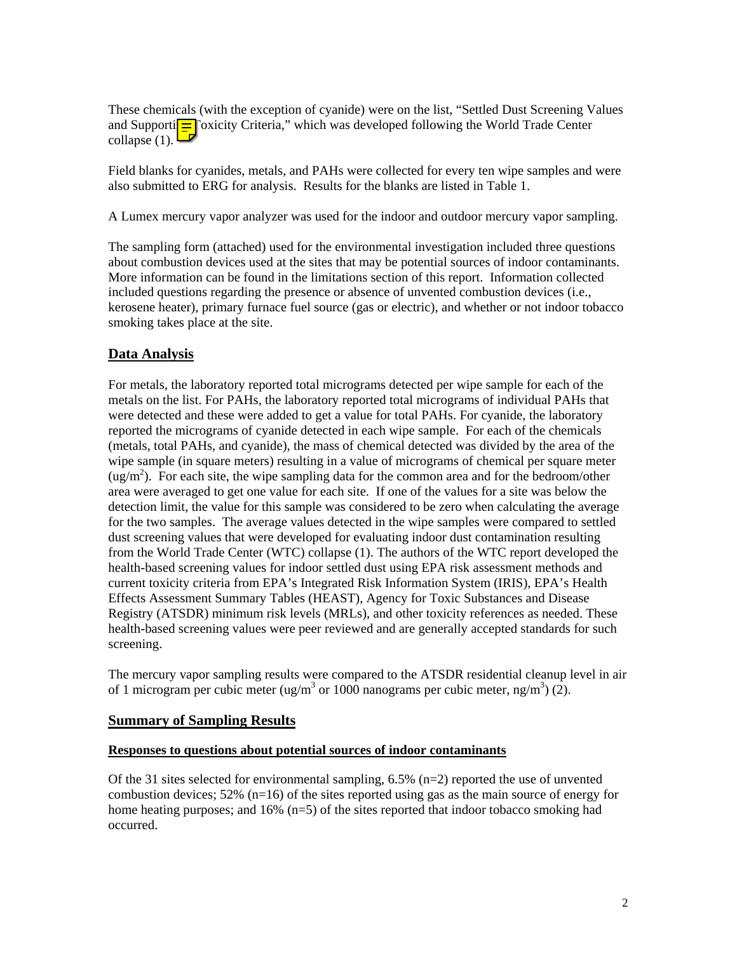These chemicals (with the exception of cyanide) were on the list, "Settled Dust Screening Values and Supporti $\boxed{\equiv}$  Toxicity Criteria," which was developed following the World Trade Center collapse (1).

Field blanks for cyanides, metals, and PAHs were collected for every ten wipe samples and were also submitted to ERG for analysis. Results for the blanks are listed in Table 1.

A Lumex mercury vapor analyzer was used for the indoor and outdoor mercury vapor sampling.

The sampling form (attached) used for the environmental investigation included three questions about combustion devices used at the sites that may be potential sources of indoor contaminants. More information can be found in the limitations section of this report. Information collected included questions regarding the presence or absence of unvented combustion devices (i.e., kerosene heater), primary furnace fuel source (gas or electric), and whether or not indoor tobacco smoking takes place at the site.

### **Data Analysis**

For metals, the laboratory reported total micrograms detected per wipe sample for each of the metals on the list. For PAHs, the laboratory reported total micrograms of individual PAHs that were detected and these were added to get a value for total PAHs. For cyanide, the laboratory reported the micrograms of cyanide detected in each wipe sample. For each of the chemicals (metals, total PAHs, and cyanide), the mass of chemical detected was divided by the area of the wipe sample (in square meters) resulting in a value of micrograms of chemical per square meter  $\rm (ug/m<sup>2</sup>)$ . For each site, the wipe sampling data for the common area and for the bedroom/other area were averaged to get one value for each site. If one of the values for a site was below the detection limit, the value for this sample was considered to be zero when calculating the average for the two samples. The average values detected in the wipe samples were compared to settled dust screening values that were developed for evaluating indoor dust contamination resulting from the World Trade Center (WTC) collapse (1). The authors of the WTC report developed the health-based screening values for indoor settled dust using EPA risk assessment methods and current toxicity criteria from EPA's Integrated Risk Information System (IRIS), EPA's Health Effects Assessment Summary Tables (HEAST), Agency for Toxic Substances and Disease Registry (ATSDR) minimum risk levels (MRLs), and other toxicity references as needed. These health-based screening values were peer reviewed and are generally accepted standards for such screening.

The mercury vapor sampling results were compared to the ATSDR residential cleanup level in air of 1 microgram per cubic meter (ug/m<sup>3</sup> or 1000 nanograms per cubic meter, ng/m<sup>3</sup>) (2).

#### **Summary of Sampling Results**

#### **Responses to questions about potential sources of indoor contaminants**

Of the 31 sites selected for environmental sampling,  $6.5\%$  (n=2) reported the use of unvented combustion devices;  $52\%$  (n=16) of the sites reported using gas as the main source of energy for home heating purposes; and  $16\%$  (n=5) of the sites reported that indoor tobacco smoking had occurred.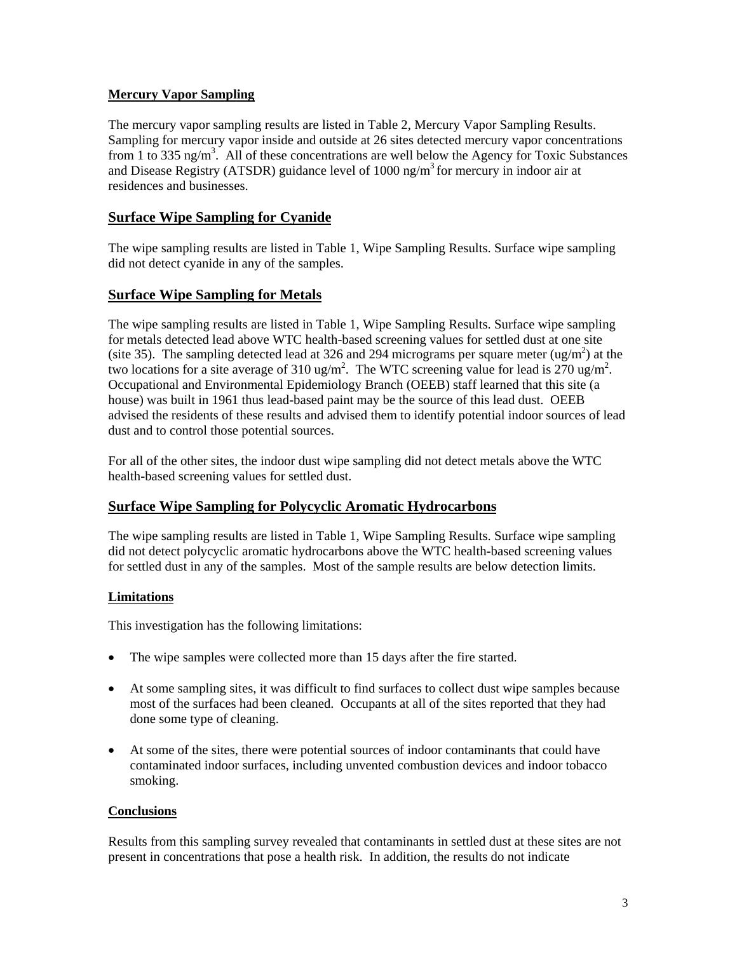#### **Mercury Vapor Sampling**

The mercury vapor sampling results are listed in Table 2, Mercury Vapor Sampling Results. Sampling for mercury vapor inside and outside at 26 sites detected mercury vapor concentrations from 1 to 335 ng/m<sup>3</sup>. All of these concentrations are well below the Agency for Toxic Substances and Disease Registry (ATSDR) guidance level of  $1000 \text{ ng/m}^3$  for mercury in indoor air at residences and businesses.

### **Surface Wipe Sampling for Cyanide**

The wipe sampling results are listed in Table 1, Wipe Sampling Results. Surface wipe sampling did not detect cyanide in any of the samples.

### **Surface Wipe Sampling for Metals**

The wipe sampling results are listed in Table 1, Wipe Sampling Results. Surface wipe sampling for metals detected lead above WTC health-based screening values for settled dust at one site (site 35). The sampling detected lead at 326 and 294 micrograms per square meter (ug/m<sup>2</sup>) at the two locations for a site average of 310 ug/m<sup>2</sup>. The WTC screening value for lead is 270 ug/m<sup>2</sup>. Occupational and Environmental Epidemiology Branch (OEEB) staff learned that this site (a house) was built in 1961 thus lead-based paint may be the source of this lead dust. OEEB advised the residents of these results and advised them to identify potential indoor sources of lead dust and to control those potential sources.

For all of the other sites, the indoor dust wipe sampling did not detect metals above the WTC health-based screening values for settled dust.

### **Surface Wipe Sampling for Polycyclic Aromatic Hydrocarbons**

The wipe sampling results are listed in Table 1, Wipe Sampling Results. Surface wipe sampling did not detect polycyclic aromatic hydrocarbons above the WTC health-based screening values for settled dust in any of the samples. Most of the sample results are below detection limits.

### **Limitations**

This investigation has the following limitations:

- The wipe samples were collected more than 15 days after the fire started.
- At some sampling sites, it was difficult to find surfaces to collect dust wipe samples because most of the surfaces had been cleaned. Occupants at all of the sites reported that they had done some type of cleaning.
- At some of the sites, there were potential sources of indoor contaminants that could have contaminated indoor surfaces, including unvented combustion devices and indoor tobacco smoking.

### **Conclusions**

Results from this sampling survey revealed that contaminants in settled dust at these sites are not present in concentrations that pose a health risk. In addition, the results do not indicate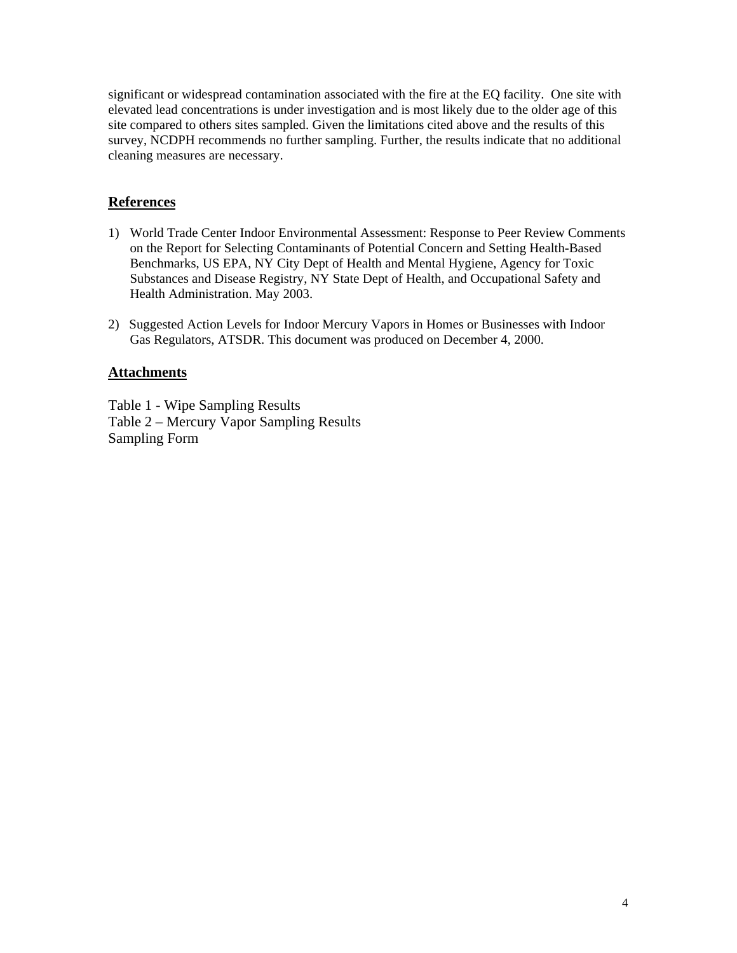significant or widespread contamination associated with the fire at the EQ facility. One site with elevated lead concentrations is under investigation and is most likely due to the older age of this site compared to others sites sampled. Given the limitations cited above and the results of this survey, NCDPH recommends no further sampling. Further, the results indicate that no additional cleaning measures are necessary.

### **References**

- 1) World Trade Center Indoor Environmental Assessment: Response to Peer Review Comments on the Report for Selecting Contaminants of Potential Concern and Setting Health-Based Benchmarks, US EPA, NY City Dept of Health and Mental Hygiene, Agency for Toxic Substances and Disease Registry, NY State Dept of Health, and Occupational Safety and Health Administration. May 2003.
- 2) Suggested Action Levels for Indoor Mercury Vapors in Homes or Businesses with Indoor Gas Regulators, ATSDR. This document was produced on December 4, 2000.

#### **Attachments**

Table 1 - Wipe Sampling Results Table 2 – Mercury Vapor Sampling Results Sampling Form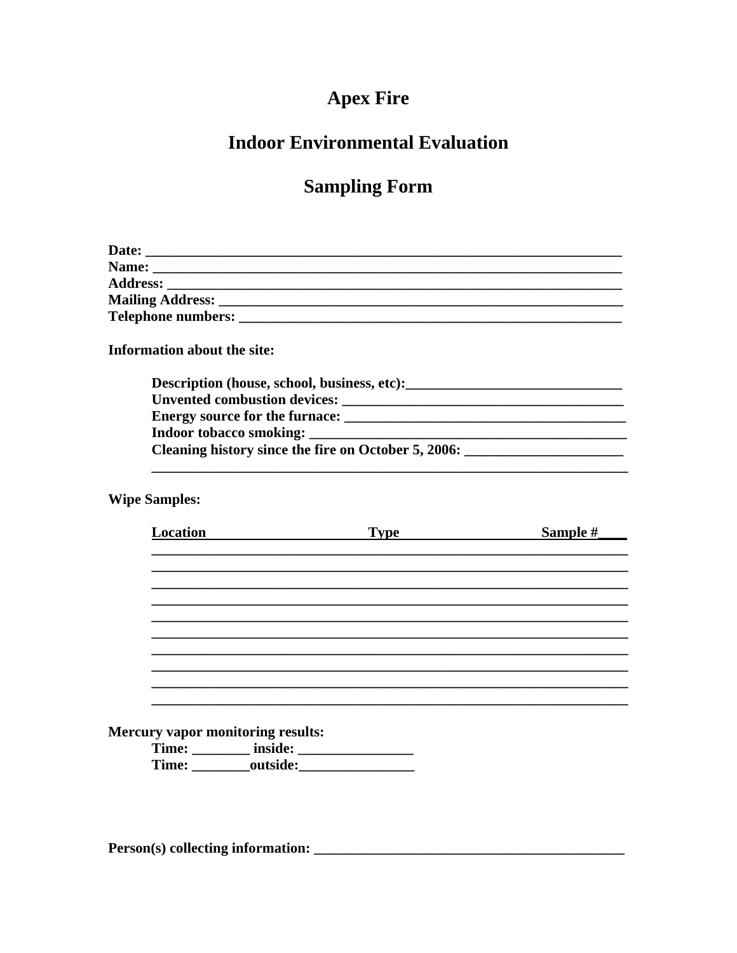# **Apex Fire**

## **Indoor Environmental Evaluation**

## **Sampling Form**

| Information about the site:<br>Description (house, school, business, etc): |
|----------------------------------------------------------------------------|
|                                                                            |
|                                                                            |
|                                                                            |
| Cleaning history since the fire on October 5, 2006:                        |

**Wipe Samples:** 

| <b>Location</b>                   | <b>Type</b>    | Sample # |
|-----------------------------------|----------------|----------|
|                                   |                |          |
|                                   |                |          |
|                                   |                |          |
|                                   |                |          |
|                                   |                |          |
|                                   |                |          |
|                                   |                |          |
|                                   |                |          |
|                                   |                |          |
|                                   |                |          |
|                                   |                |          |
|                                   |                |          |
| Mercury vapor monitoring results: |                |          |
|                                   |                |          |
|                                   | Time: outside: |          |
|                                   |                |          |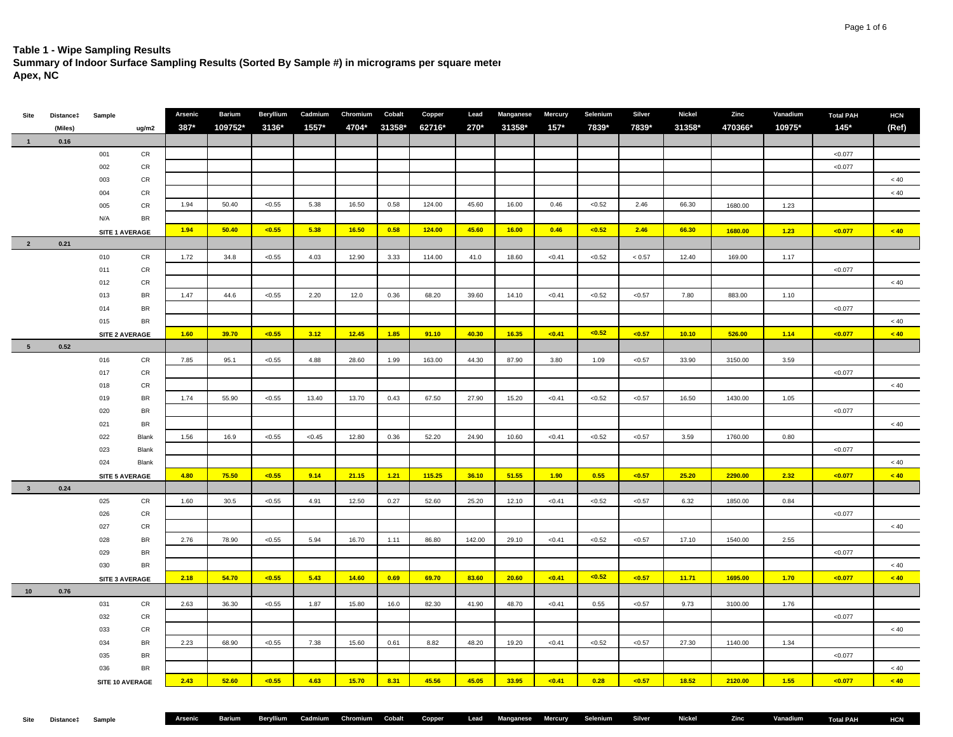#### **Table 1 - Wipe Sampling Results**

**Summary of Indoor Surface Sampling Results (Sorted By Sample #) in micrograms per square meter**

**Apex, NC**

| Site                    | Distance‡ | Sample |                       | Arsenic | <b>Barium</b> | Beryllium | Cadmium | Chromium | Cobalt | Copper | Lead   | Manganese | <b>Mercury</b> | Selenium | Silver   | Nickel | Zinc    | Vanadium | <b>Total PAH</b> | <b>HCN</b> |
|-------------------------|-----------|--------|-----------------------|---------|---------------|-----------|---------|----------|--------|--------|--------|-----------|----------------|----------|----------|--------|---------|----------|------------------|------------|
|                         | (Miles)   |        | ug/m2                 | 387*    | 109752*       | 3136*     | 1557*   | 4704*    | 31358* | 62716* | 270*   | 31358*    | $157*$         | 7839*    | 7839*    | 31358* | 470366* | 10975*   | $145*$           | (Ref)      |
| $\blacksquare$          | 0.16      |        |                       |         |               |           |         |          |        |        |        |           |                |          |          |        |         |          |                  |            |
|                         |           | 001    | CR                    |         |               |           |         |          |        |        |        |           |                |          |          |        |         |          | < 0.077          |            |
|                         |           | 002    | CR                    |         |               |           |         |          |        |        |        |           |                |          |          |        |         |          | < 0.077          |            |
|                         |           | 003    | CR                    |         |               |           |         |          |        |        |        |           |                |          |          |        |         |          |                  | $<40\,$    |
|                         |           | 004    | <b>CR</b>             |         |               |           |         |          |        |        |        |           |                |          |          |        |         |          |                  | $<40\,$    |
|                         |           | 005    | CR                    | 1.94    | 50.40         | < 0.55    | 5.38    | 16.50    | 0.58   | 124.00 | 45.60  | 16.00     | 0.46           | < 0.52   | 2.46     | 66.30  | 1680.00 | 1.23     |                  |            |
|                         |           | N/A    | <b>BR</b>             |         |               |           |         |          |        |        |        |           |                |          |          |        |         |          |                  |            |
|                         |           |        | SITE 1 AVERAGE        | 1.94    | 50.40         | < 0.55    | 5.38    | 16.50    | 0.58   | 124.00 | 45.60  | 16.00     | 0.46           | < 0.52   | 2.46     | 66.30  | 1680.00 | 1.23     | < 0.077          | < 40       |
| $\overline{\mathbf{2}}$ | 0.21      |        |                       |         |               |           |         |          |        |        |        |           |                |          |          |        |         |          |                  |            |
|                         |           | 010    | ${\sf CR}$            | 1.72    | 34.8          | < 0.55    | 4.03    | 12.90    | 3.33   | 114.00 | 41.0   | 18.60     | < 0.41         | < 0.52   | $< 0.57$ | 12.40  | 169.00  | 1.17     |                  |            |
|                         |           | 011    | CR                    |         |               |           |         |          |        |        |        |           |                |          |          |        |         |          | < 0.077          |            |
|                         |           | 012    | CR                    |         |               |           |         |          |        |        |        |           |                |          |          |        |         |          |                  | $<40\,$    |
|                         |           | 013    | BR                    | 1.47    | 44.6          | < 0.55    | 2.20    | 12.0     | 0.36   | 68.20  | 39.60  | 14.10     | < 0.41         | < 0.52   | < 0.57   | 7.80   | 883.00  | 1.10     |                  |            |
|                         |           | 014    | BR                    |         |               |           |         |          |        |        |        |           |                |          |          |        |         |          | < 0.077          |            |
|                         |           | 015    | <b>BR</b>             |         |               |           |         |          |        |        |        |           |                |          |          |        |         |          |                  | $<40\,$    |
|                         |           |        | SITE 2 AVERAGE        | 1.60    | 39.70         | < 0.55    | 3.12    | 12.45    | 1.85   | 91.10  | 40.30  | 16.35     | < 0.41         | < 0.52   | $0.57$   | 10.10  | 526.00  | 1.14     | < 0.077          | < 40       |
| 5 <sub>5</sub>          | 0.52      |        |                       |         |               |           |         |          |        |        |        |           |                |          |          |        |         |          |                  |            |
|                         |           | 016    | CR                    | 7.85    | 95.1          | < 0.55    | 4.88    | 28.60    | 1.99   | 163.00 | 44.30  | 87.90     | 3.80           | 1.09     | < 0.57   | 33.90  | 3150.00 | 3.59     |                  |            |
|                         |           | 017    | CR                    |         |               |           |         |          |        |        |        |           |                |          |          |        |         |          | < 0.077          |            |
|                         |           | 018    | CR                    |         |               |           |         |          |        |        |        |           |                |          |          |        |         |          |                  | $<40\,$    |
|                         |           | 019    | <b>BR</b>             | 1.74    | 55.90         | < 0.55    | 13.40   | 13.70    | 0.43   | 67.50  | 27.90  | 15.20     | < 0.41         | < 0.52   | < 0.57   | 16.50  | 1430.00 | 1.05     |                  |            |
|                         |           | 020    | BR                    |         |               |           |         |          |        |        |        |           |                |          |          |        |         |          | < 0.077          |            |
|                         |           | 021    | <b>BR</b>             |         |               |           |         |          |        |        |        |           |                |          |          |        |         |          |                  | $<40\,$    |
|                         |           | 022    | Blank                 | 1.56    | 16.9          | < 0.55    | < 0.45  | 12.80    | 0.36   | 52.20  | 24.90  | 10.60     | < 0.41         | < 0.52   | < 0.57   | 3.59   | 1760.00 | 0.80     |                  |            |
|                         |           | 023    | Blank                 |         |               |           |         |          |        |        |        |           |                |          |          |        |         |          | < 0.077          |            |
|                         |           | 024    | Blank                 |         |               |           |         |          |        |        |        |           |                |          |          |        |         |          |                  | $< 40$     |
|                         |           |        | SITE 5 AVERAGE        | 4.80    | 75.50         | < 0.55    | 9.14    | 21.15    | 1.21   | 115.25 | 36.10  | 51.55     | 1.90           | 0.55     | < 0.57   | 25.20  | 2290.00 | 2.32     | < 0.077          | < 40       |
| $\overline{\mathbf{3}}$ | 0.24      |        |                       |         |               |           |         |          |        |        |        |           |                |          |          |        |         |          |                  |            |
|                         |           | 025    | ${\sf CR}$            | 1.60    | 30.5          | < 0.55    | 4.91    | 12.50    | 0.27   | 52.60  | 25.20  | 12.10     | < 0.41         | < 0.52   | < 0.57   | 6.32   | 1850.00 | 0.84     |                  |            |
|                         |           | 026    | <b>CR</b>             |         |               |           |         |          |        |        |        |           |                |          |          |        |         |          | < 0.077          |            |
|                         |           | 027    | CR                    |         |               |           |         |          |        |        |        |           |                |          |          |        |         |          |                  | $<40\,$    |
|                         |           | 028    | <b>BR</b>             | 2.76    | 78.90         | < 0.55    | 5.94    | 16.70    | 1.11   | 86.80  | 142.00 | 29.10     | < 0.41         | < 0.52   | < 0.57   | 17.10  | 1540.00 | 2.55     |                  |            |
|                         |           | 029    | <b>BR</b>             |         |               |           |         |          |        |        |        |           |                |          |          |        |         |          | < 0.077          |            |
|                         |           | 030    | <b>BR</b>             |         |               |           |         |          |        |        |        |           |                |          |          |        |         |          |                  | $< 40\,$   |
|                         |           |        | <b>SITE 3 AVERAGE</b> | 2.18    | 54.70         | < 0.55    | 5.43    | 14.60    | 0.69   | 69.70  | 83.60  | 20.60     | < 0.41         | < 0.52   | $0.57$   | 11.71  | 1695.00 | 1.70     | < 0.077          | < 40       |
| 10                      | 0.76      |        |                       |         |               |           |         |          |        |        |        |           |                |          |          |        |         |          |                  |            |
|                         |           | 031    | CR                    | 2.63    | 36.30         | < 0.55    | 1.87    | 15.80    | 16.0   | 82.30  | 41.90  | 48.70     | < 0.41         | 0.55     | < 0.57   | 9.73   | 3100.00 | 1.76     |                  |            |
|                         |           | 032    | CR                    |         |               |           |         |          |        |        |        |           |                |          |          |        |         |          | < 0.077          |            |
|                         |           | 033    | CR                    |         |               |           |         |          |        |        |        |           |                |          |          |        |         |          |                  | $<40\,$    |
|                         |           | 034    | BR                    | 2.23    | 68.90         | < 0.55    | 7.38    | 15.60    | 0.61   | 8.82   | 48.20  | 19.20     | < 0.41         | < 0.52   | < 0.57   | 27.30  | 1140.00 | 1.34     |                  |            |
|                         |           | 035    | BR                    |         |               |           |         |          |        |        |        |           |                |          |          |        |         |          | < 0.077          |            |
|                         |           | 036    | <b>BR</b>             |         |               |           |         |          |        |        |        |           |                |          |          |        |         |          |                  | $~<$ 40    |
|                         |           |        | SITE 10 AVERAGE       | 2.43    | 52.60         | < 0.55    | 4.63    | 15.70    | 8.31   | 45.56  | 45.05  | 33.95     | <0.41          | 0.28     | $0.57$   | 18.52  | 2120.00 | 1.55     | < 0.077          | < 40       |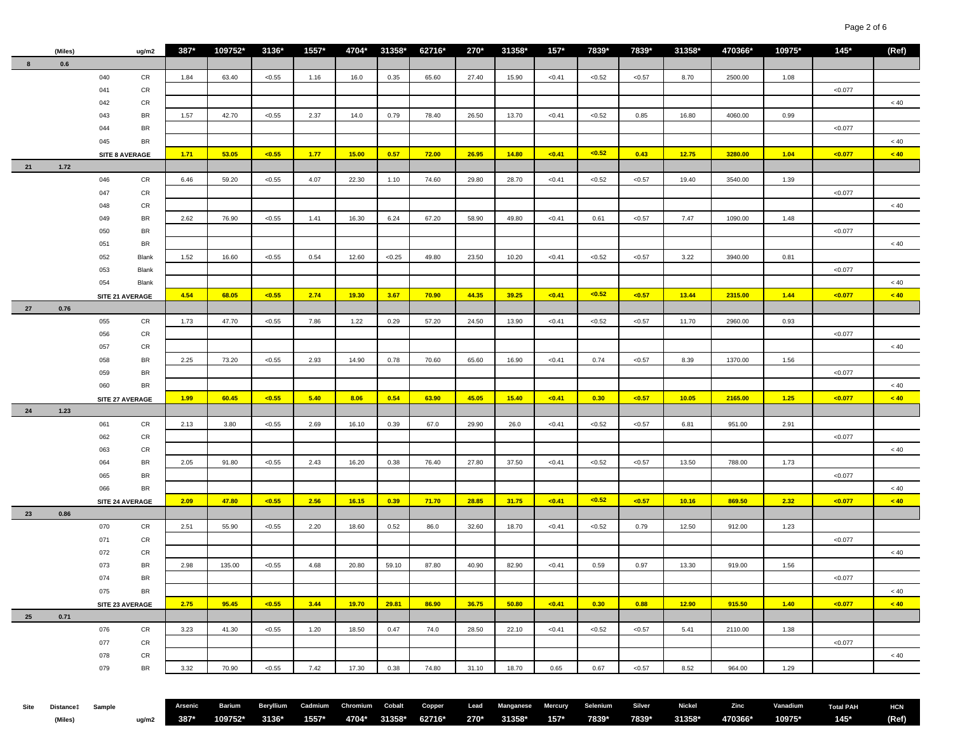|    | (Miles)    |     | ug/m2           | $387*$ | 109752* | 3136*  | $1557*$ | 4704* | 31358* | 62716* | 270*  | 31358* | $157*$ | 7839*       | 7839*       | 31358* | 470366* | 10975* | $145*$  | (Ref)    |
|----|------------|-----|-----------------|--------|---------|--------|---------|-------|--------|--------|-------|--------|--------|-------------|-------------|--------|---------|--------|---------|----------|
| 8  | 0.6        |     |                 |        |         |        |         |       |        |        |       |        |        |             |             |        |         |        |         |          |
|    |            | 040 | CR              | 1.84   | 63.40   | < 0.55 | 1.16    | 16.0  | 0.35   | 65.60  | 27.40 | 15.90  | < 0.41 | < 0.52      | $<\!\!0.57$ | 8.70   | 2500.00 | 1.08   |         |          |
|    |            | 041 | CR              |        |         |        |         |       |        |        |       |        |        |             |             |        |         |        | < 0.077 |          |
|    |            | 042 | CR              |        |         |        |         |       |        |        |       |        |        |             |             |        |         |        |         | $< 40\,$ |
|    |            | 043 | BR              | 1.57   | 42.70   | < 0.55 | 2.37    | 14.0  | 0.79   | 78.40  | 26.50 | 13.70  | < 0.41 | < 0.52      | 0.85        | 16.80  | 4060.00 | 0.99   |         |          |
|    |            | 044 | BR              |        |         |        |         |       |        |        |       |        |        |             |             |        |         |        | < 0.077 |          |
|    |            | 045 | BR              |        |         |        |         |       |        |        |       |        |        |             |             |        |         |        |         | $< 40\,$ |
|    |            |     | SITE 8 AVERAGE  | 1.71   | 53.05   | < 0.55 | 1.77    | 15.00 | 0.57   | 72.00  | 26.95 | 14.80  | < 0.41 | < 0.52      | 0.43        | 12.75  | 3280.00 | 1.04   | < 0.077 | < 40     |
| 21 | 1.72       |     |                 |        |         |        |         |       |        |        |       |        |        |             |             |        |         |        |         |          |
|    |            |     |                 |        |         |        |         |       |        |        |       |        |        |             |             |        |         |        |         |          |
|    |            | 046 | CR              | 6.46   | 59.20   | < 0.55 | 4.07    | 22.30 | 1.10   | 74.60  | 29.80 | 28.70  | < 0.41 | < 0.52      | $<\!\!0.57$ | 19.40  | 3540.00 | 1.39   |         |          |
|    |            | 047 | CR              |        |         |        |         |       |        |        |       |        |        |             |             |        |         |        | < 0.077 |          |
|    |            | 048 | CR              |        |         |        |         |       |        |        |       |        |        |             |             |        |         |        |         | $< 40\,$ |
|    |            | 049 | BR              | 2.62   | 76.90   | < 0.55 | 1.41    | 16.30 | 6.24   | 67.20  | 58.90 | 49.80  | < 0.41 | 0.61        | < 0.57      | 7.47   | 1090.00 | 1.48   |         |          |
|    |            | 050 | BR              |        |         |        |         |       |        |        |       |        |        |             |             |        |         |        | < 0.077 |          |
|    |            | 051 | BR              |        |         |        |         |       |        |        |       |        |        |             |             |        |         |        |         | $< 40$   |
|    |            | 052 | Blank           | 1.52   | 16.60   | < 0.55 | 0.54    | 12.60 | < 0.25 | 49.80  | 23.50 | 10.20  | < 0.41 | < 0.52      | < 0.57      | 3.22   | 3940.00 | 0.81   |         |          |
|    |            | 053 | Blank           |        |         |        |         |       |        |        |       |        |        |             |             |        |         |        | < 0.077 |          |
|    |            | 054 | Blank           |        |         |        |         |       |        |        |       |        |        |             |             |        |         |        |         | $< 40\,$ |
|    |            |     | SITE 21 AVERAGE | 4.54   | 68.05   | < 0.55 | 2.74    | 19.30 | 3.67   | 70.90  | 44.35 | 39.25  | < 0.41 | < 0.52      | < 0.57      | 13.44  | 2315.00 | 1.44   | < 0.077 | < 40     |
| 27 | 0.76       |     |                 |        |         |        |         |       |        |        |       |        |        |             |             |        |         |        |         |          |
|    |            | 055 | CR              | 1.73   | 47.70   | < 0.55 | 7.86    | 1.22  | 0.29   | 57.20  | 24.50 | 13.90  | < 0.41 | < 0.52      | < 0.57      | 11.70  | 2960.00 | 0.93   |         |          |
|    |            | 056 | CR              |        |         |        |         |       |        |        |       |        |        |             |             |        |         |        | < 0.077 |          |
|    |            | 057 | CR              |        |         |        |         |       |        |        |       |        |        |             |             |        |         |        |         | < 40     |
|    |            | 058 | BR              | 2.25   | 73.20   | < 0.55 | 2.93    | 14.90 | 0.78   | 70.60  | 65.60 | 16.90  | < 0.41 | 0.74        | < 0.57      | 8.39   | 1370.00 | 1.56   |         |          |
|    |            | 059 | BR              |        |         |        |         |       |        |        |       |        |        |             |             |        |         |        | < 0.077 |          |
|    |            | 060 | BR              |        |         |        |         |       |        |        |       |        |        |             |             |        |         |        |         | $< 40\,$ |
|    |            |     | SITE 27 AVERAGE | 1.99   | 60.45   | < 0.55 | 5.40    | 8.06  | 0.54   | 63.90  | 45.05 | 15.40  | < 0.41 | 0.30        | $0.57$      | 10.05  | 2165.00 | 1.25   | < 0.077 | < 40     |
| 24 | 1.23       |     |                 |        |         |        |         |       |        |        |       |        |        |             |             |        |         |        |         |          |
|    |            | 061 | ${\sf CR}$      | 2.13   | 3.80    | < 0.55 | 2.69    | 16.10 | 0.39   | 67.0   | 29.90 | 26.0   | < 0.41 | $<\!\!0.52$ | < 0.57      | 6.81   | 951.00  | 2.91   |         |          |
|    |            | 062 | CR              |        |         |        |         |       |        |        |       |        |        |             |             |        |         |        | < 0.077 |          |
|    |            | 063 | CR              |        |         |        |         |       |        |        |       |        |        |             |             |        |         |        |         | < 40     |
|    |            | 064 | BR              | 2.05   | 91.80   | < 0.55 | 2.43    | 16.20 | 0.38   | 76.40  | 27.80 | 37.50  | < 0.41 | < 0.52      | < 0.57      | 13.50  | 788.00  | 1.73   |         |          |
|    |            | 065 | BR              |        |         |        |         |       |        |        |       |        |        |             |             |        |         |        | < 0.077 |          |
|    |            | 066 | BR              |        |         |        |         |       |        |        |       |        |        |             |             |        |         |        |         | < 40     |
|    |            |     | SITE 24 AVERAGE | 2.09   | 47.80   | < 0.55 | 2.56    | 16.15 | 0.39   | 71.70  | 28.85 | 31.75  | < 0.41 | < 0.52      | < 0.57      | 10.16  | 869.50  | 2.32   | < 0.077 | < 40     |
| 23 | $\bf 0.86$ |     |                 |        |         |        |         |       |        |        |       |        |        |             |             |        |         |        |         |          |
|    |            | 070 | CR              | 2.51   | 55.90   | < 0.55 | 2.20    | 18.60 | 0.52   | 86.0   | 32.60 | 18.70  | < 0.41 | < 0.52      | 0.79        | 12.50  | 912.00  | 1.23   |         |          |
|    |            | 071 | CR              |        |         |        |         |       |        |        |       |        |        |             |             |        |         |        | < 0.077 |          |
|    |            | 072 | CR              |        |         |        |         |       |        |        |       |        |        |             |             |        |         |        |         | < 40     |
|    |            | 073 | BR              | 2.98   | 135.00  | < 0.55 | 4.68    | 20.80 | 59.10  | 87.80  | 40.90 | 82.90  | < 0.41 | 0.59        | 0.97        | 13.30  | 919.00  | 1.56   |         |          |
|    |            | 074 | BR              |        |         |        |         |       |        |        |       |        |        |             |             |        |         |        | < 0.077 |          |
|    |            | 075 | BR              |        |         |        |         |       |        |        |       |        |        |             |             |        |         |        |         | < 40     |
|    |            |     | SITE 23 AVERAGE | 2.75   | 95.45   | < 0.55 | 3.44    | 19.70 | 29.81  | 86.90  | 36.75 | 50.80  | < 0.41 | 0.30        | 0.88        | 12.90  | 915.50  | 1.40   | < 0.077 | < 40     |
| 25 | 0.71       |     |                 |        |         |        |         |       |        |        |       |        |        |             |             |        |         |        |         |          |
|    |            | 076 | CR              | 3.23   | 41.30   | < 0.55 | 1.20    | 18.50 | 0.47   | 74.0   | 28.50 | 22.10  | < 0.41 | < 0.52      | < 0.57      | 5.41   | 2110.00 | 1.38   |         |          |
|    |            | 077 | CR              |        |         |        |         |       |        |        |       |        |        |             |             |        |         |        | < 0.077 |          |
|    |            | 078 | CR              |        |         |        |         |       |        |        |       |        |        |             |             |        |         |        |         | < 40     |
|    |            | 079 | BR              | 3.32   | 70.90   | < 0.55 | 7.42    | 17.30 | 0.38   | 74.80  | 31.10 | 18.70  | 0.65   | 0.67        | < 0.57      | 8.52   | 964.00  | 1.29   |         |          |
|    |            |     |                 |        |         |        |         |       |        |        |       |        |        |             |             |        |         |        |         |          |
|    |            |     |                 |        |         |        |         |       |        |        |       |        |        |             |             |        |         |        |         |          |
|    |            |     |                 |        |         |        |         |       |        |        |       |        |        |             |             |        |         |        |         |          |

| (Miles) |  |  |  |  |  |  |  |  | <u>ug/m2</u> 387* 109752* 3136* 1557* 4704* 31358* 62716* 270* 31358* 157* 7839* 7839* 31358* 470366* 10975*  145* (Ref) |  |
|---------|--|--|--|--|--|--|--|--|--------------------------------------------------------------------------------------------------------------------------|--|
|         |  |  |  |  |  |  |  |  |                                                                                                                          |  |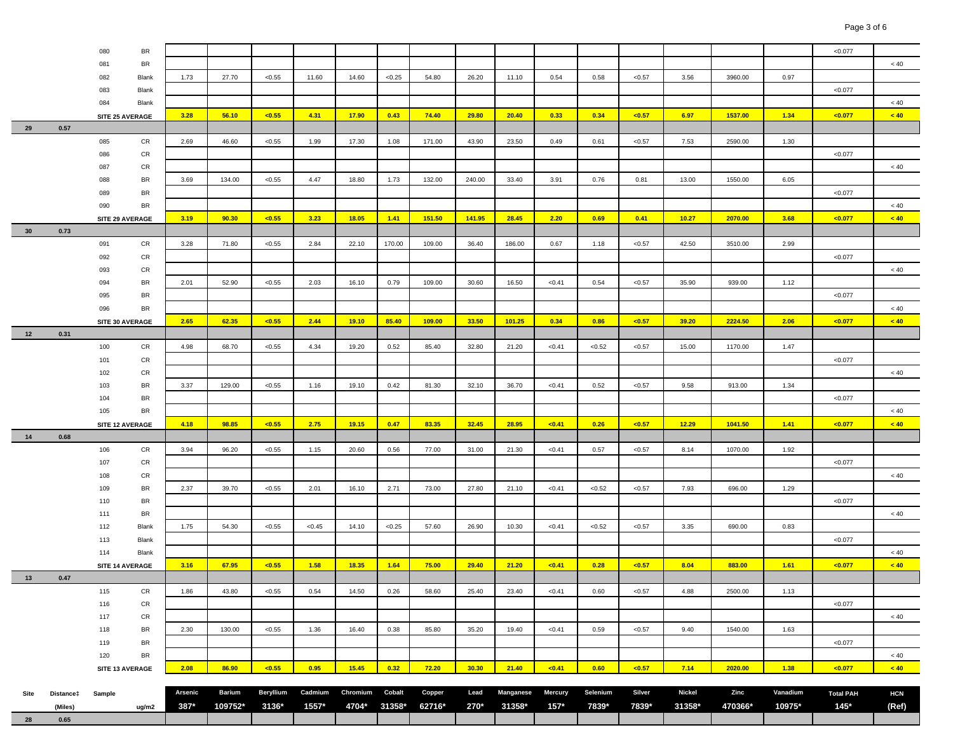|      |           | 080             | BR              |         |               |                  |         |          |        |        |        |           |         |          |        |               |         |          | < 0.077          |            |
|------|-----------|-----------------|-----------------|---------|---------------|------------------|---------|----------|--------|--------|--------|-----------|---------|----------|--------|---------------|---------|----------|------------------|------------|
|      |           | 081             | BR              |         |               |                  |         |          |        |        |        |           |         |          |        |               |         |          |                  | $<40\,$    |
|      |           | 082             | Blank           | 1.73    | 27.70         | < 0.55           | 11.60   | 14.60    | < 0.25 | 54.80  | 26.20  | 11.10     | 0.54    | 0.58     | < 0.57 | 3.56          | 3960.00 | 0.97     |                  |            |
|      |           | 083             | Blank           |         |               |                  |         |          |        |        |        |           |         |          |        |               |         |          | < 0.077          |            |
|      |           | 084             | Blank           |         |               |                  |         |          |        |        |        |           |         |          |        |               |         |          |                  | $< 40\,$   |
|      |           | SITE 25 AVERAGE |                 | 3.28    | 56.10         | < 0.55           | 4.31    | 17.90    | 0.43   | 74.40  | 29.80  | 20.40     | 0.33    | 0.34     | < 0.57 | 6.97          | 1537.00 | 1.34     | < 0.077          | < 40       |
| 29   | 0.57      |                 |                 |         |               |                  |         |          |        |        |        |           |         |          |        |               |         |          |                  |            |
|      |           | 085             | CR              | 2.69    | 46.60         | < 0.55           | 1.99    | 17.30    | 1.08   | 171.00 | 43.90  | 23.50     | 0.49    | 0.61     | < 0.57 | 7.53          | 2590.00 | 1.30     |                  |            |
|      |           | 086             | CR              |         |               |                  |         |          |        |        |        |           |         |          |        |               |         |          | < 0.077          |            |
|      |           | 087             | CR              |         |               |                  |         |          |        |        |        |           |         |          |        |               |         |          |                  | $< 40$     |
|      |           | 088             | BR              | 3.69    | 134.00        | < 0.55           | 4.47    | 18.80    | 1.73   | 132.00 | 240.00 | 33.40     | 3.91    | 0.76     | 0.81   | 13.00         | 1550.00 | 6.05     |                  |            |
|      |           | 089             | BR              |         |               |                  |         |          |        |        |        |           |         |          |        |               |         |          | < 0.077          |            |
|      |           | 090             | BR              |         |               |                  |         |          |        |        |        |           |         |          |        |               |         |          |                  | $< 40\,$   |
|      |           | SITE 29 AVERAGE |                 | 3.19    | 90.30         | < 0.55           | 3.23    | 18.05    | 1.41   | 151.50 | 141.95 | 28.45     | 2.20    | 0.69     | 0.41   | 10.27         | 2070.00 | 3.68     | < 0.077          | < 40       |
| 30   | 0.73      |                 |                 |         |               |                  |         |          |        |        |        |           |         |          |        |               |         |          |                  |            |
|      |           | 091             | CR              | 3.28    | 71.80         | < 0.55           | 2.84    | 22.10    | 170.00 | 109.00 | 36.40  | 186.00    | 0.67    | 1.18     | < 0.57 | 42.50         | 3510.00 | 2.99     |                  |            |
|      |           | 092             | CR              |         |               |                  |         |          |        |        |        |           |         |          |        |               |         |          | < 0.077          |            |
|      |           | 093             | CR              |         |               |                  |         |          |        |        |        |           |         |          |        |               |         |          |                  | < 40       |
|      |           | 094             | BR              | 2.01    | 52.90         | < 0.55           | 2.03    | 16.10    | 0.79   | 109.00 | 30.60  | 16.50     | < 0.41  | 0.54     | < 0.57 | 35.90         | 939.00  | 1.12     |                  |            |
|      |           | 095             | BR              |         |               |                  |         |          |        |        |        |           |         |          |        |               |         |          | < 0.077          |            |
|      |           | 096             | BR              |         |               |                  |         |          |        |        |        |           |         |          |        |               |         |          |                  | $< 40$     |
|      |           | SITE 30 AVERAGE |                 | 2.65    | 62.35         | < 0.55           | 2.44    | 19.10    | 85.40  | 109.00 | 33.50  | 101.25    | 0.34    | 0.86     | < 0.57 | 39.20         | 2224.50 | 2.06     | < 0.077          | < 40       |
| 12   | 0.31      |                 |                 |         |               |                  |         |          |        |        |        |           |         |          |        |               |         |          |                  |            |
|      |           | 100             | CR              | 4.98    | 68.70         | < 0.55           | 4.34    | 19.20    | 0.52   | 85.40  | 32.80  | 21.20     | < 0.41  | < 0.52   | < 0.57 | 15.00         | 1170.00 | 1.47     |                  |            |
|      |           | 101             | CR              |         |               |                  |         |          |        |        |        |           |         |          |        |               |         |          | < 0.077          |            |
|      |           | 102             | CR              |         |               |                  |         |          |        |        |        |           |         |          |        |               |         |          |                  | $< 40$     |
|      |           | 103             | BR              | 3.37    | 129.00        | < 0.55           | 1.16    | 19.10    | 0.42   | 81.30  | 32.10  | 36.70     | < 0.41  | 0.52     | < 0.57 | 9.58          | 913.00  | 1.34     |                  |            |
|      |           | 104             | BR              |         |               |                  |         |          |        |        |        |           |         |          |        |               |         |          | < 0.077          |            |
|      |           | 105             | BR              |         |               |                  |         |          |        |        |        |           |         |          |        |               |         |          |                  | $<40\,$    |
|      |           |                 | SITE 12 AVERAGE | 4.18    | 98.85         | < 0.55           | 2.75    | 19.15    | 0.47   | 83.35  | 32.45  | 28.95     | $0.41$  | 0.26     | < 0.57 | 12.29         | 1041.50 | 1.41     | < 0.077          | < 40       |
| 14   | 0.68      |                 |                 |         |               |                  |         |          |        |        |        |           |         |          |        |               |         |          |                  |            |
|      |           | 106             | CR              | 3.94    | 96.20         | < 0.55           | 1.15    | 20.60    | 0.56   | 77.00  | 31.00  | 21.30     | < 0.41  | 0.57     | < 0.57 | 8.14          | 1070.00 | 1.92     |                  |            |
|      |           | 107             | CR              |         |               |                  |         |          |        |        |        |           |         |          |        |               |         |          | < 0.077          |            |
|      |           | 108             | CR              |         |               |                  |         |          |        |        |        |           |         |          |        |               |         |          |                  | < 40       |
|      |           | 109             | BR              | 2.37    | 39.70         | < 0.55           | 2.01    | 16.10    | 2.71   | 73.00  | 27.80  | 21.10     | < 0.41  | < 0.52   | < 0.57 | 7.93          | 696.00  | 1.29     |                  |            |
|      |           | 110             | BR              |         |               |                  |         |          |        |        |        |           |         |          |        |               |         |          | < 0.077          |            |
|      |           | 111             | BR              |         |               |                  |         |          |        |        |        |           |         |          |        |               |         |          |                  | $< 40$     |
|      |           | 112             | Blank           | 1.75    | 54.30         | < 0.55           | < 0.45  | 14.10    | < 0.25 | 57.60  | 26.90  | 10.30     | < 0.41  | < 0.52   | < 0.57 | 3.35          | 690.00  | 0.83     |                  |            |
|      |           | 113             | Blank           |         |               |                  |         |          |        |        |        |           |         |          |        |               |         |          | < 0.077          |            |
|      |           | 114             | Blank           |         |               |                  |         |          |        |        |        |           |         |          |        |               |         |          |                  | $< 40$     |
|      |           | SITE 14 AVERAGE |                 | 3.16    | 67.95         | < 0.55           | 1.58    | 18.35    | 1.64   | 75.00  | 29.40  | 21.20     | < 0.41  | 0.28     | < 0.57 | 8.04          | 883.00  | 1.61     | < 0.077          | < 40       |
| 13   | 0.47      | 115             | CR              | 1.86    | 43.80         | < 0.55           | 0.54    | 14.50    | 0.26   | 58.60  | 25.40  | 23.40     | < 0.41  | 0.60     | < 0.57 | 4.88          | 2500.00 | 1.13     |                  |            |
|      |           | 116             | CR              |         |               |                  |         |          |        |        |        |           |         |          |        |               |         |          | < 0.077          |            |
|      |           | 117             | CR              |         |               |                  |         |          |        |        |        |           |         |          |        |               |         |          |                  | $< 40$     |
|      |           | 118             | BR              | 2.30    | 130.00        | < 0.55           | 1.36    | 16.40    | 0.38   | 85.80  | 35.20  | 19.40     | < 0.41  | 0.59     | < 0.57 | 9.40          | 1540.00 | 1.63     |                  |            |
|      |           | 119             | BR              |         |               |                  |         |          |        |        |        |           |         |          |        |               |         |          | < 0.077          |            |
|      |           | 120             | BR              |         |               |                  |         |          |        |        |        |           |         |          |        |               |         |          |                  | $< 40$     |
|      |           |                 | SITE 13 AVERAGE | 2.08    | 86.90         | < 0.55           | 0.95    | 15.45    | 0.32   | 72.20  | 30.30  | 21.40     | < 0.41  | 0.60     | < 0.57 | 7.14          | 2020.00 | 1.38     | < 0.077          | < 40       |
|      |           |                 |                 |         |               |                  |         |          |        |        |        |           |         |          |        |               |         |          |                  |            |
| Site | Distance‡ | Sample          |                 | Arsenic | <b>Barium</b> | <b>Beryllium</b> | Cadmium | Chromium | Cobalt | Copper | Lead   | Manganese | Mercury | Selenium | Silver | <b>Nickel</b> | Zinc    | Vanadium | <b>Total PAH</b> | <b>HCN</b> |
|      | (Miles)   |                 | ug/m2           | 387*    | 109752*       | 3136*            | 1557*   | 4704*    | 31358* | 62716* | 270*   | 31358*    | $157*$  | 7839*    | 7839*  | 31358*        | 470366* | 10975*   | $145*$           | (Ref)      |
| 28   | 0.65      |                 |                 |         |               |                  |         |          |        |        |        |           |         |          |        |               |         |          |                  |            |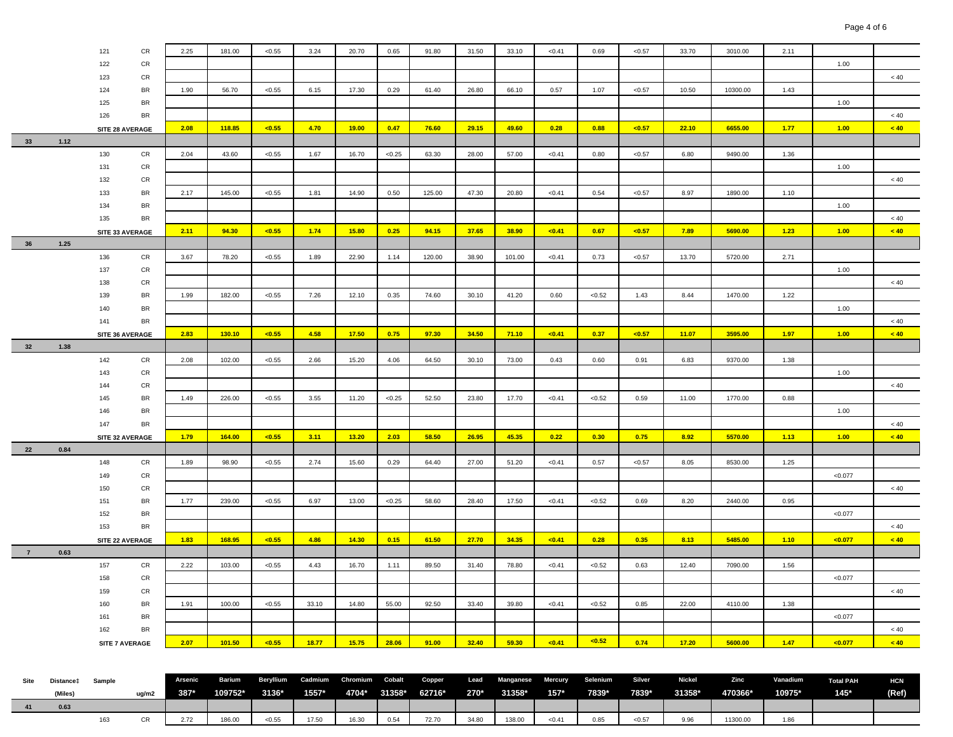|                |                  | 121 | CR              | 2.25    | 181.00 | < 0.55 | 3.24                              | 20.70 | 0.65   | 91.80  | 31.50 | 33.10                    | < 0.41 | 0.69     | < 0.57 | 33.70  | 3010.00  | 2.11     |                  |            |
|----------------|------------------|-----|-----------------|---------|--------|--------|-----------------------------------|-------|--------|--------|-------|--------------------------|--------|----------|--------|--------|----------|----------|------------------|------------|
|                |                  | 122 | CR              |         |        |        |                                   |       |        |        |       |                          |        |          |        |        |          |          | 1.00             |            |
|                |                  | 123 | CR              |         |        |        |                                   |       |        |        |       |                          |        |          |        |        |          |          |                  | $< 40\,$   |
|                |                  | 124 | BR              | 1.90    | 56.70  | < 0.55 | 6.15                              | 17.30 | 0.29   | 61.40  | 26.80 | 66.10                    | 0.57   | 1.07     | < 0.57 | 10.50  | 10300.00 | 1.43     |                  |            |
|                |                  | 125 | BR              |         |        |        |                                   |       |        |        |       |                          |        |          |        |        |          |          | 1.00             |            |
|                |                  | 126 | BR              |         |        |        |                                   |       |        |        |       |                          |        |          |        |        |          |          |                  | < 40       |
|                |                  |     | SITE 28 AVERAGE | 2.08    | 118.85 | < 0.55 | 4.70                              | 19.00 | 0.47   | 76.60  | 29.15 | 49.60                    | 0.28   | 0.88     | < 0.57 | 22.10  | 6655.00  | 1.77     | 1.00             | < 40       |
| 33             | 1.12             |     |                 |         |        |        |                                   |       |        |        |       |                          |        |          |        |        |          |          |                  |            |
|                |                  | 130 | CR              | 2.04    | 43.60  | < 0.55 | 1.67                              | 16.70 | < 0.25 | 63.30  | 28.00 | 57.00                    | < 0.41 | 0.80     | < 0.57 | 6.80   | 9490.00  | 1.36     |                  |            |
|                |                  | 131 | CR              |         |        |        |                                   |       |        |        |       |                          |        |          |        |        |          |          | 1.00             |            |
|                |                  | 132 | CR              |         |        |        |                                   |       |        |        |       |                          |        |          |        |        |          |          |                  | < 40       |
|                |                  | 133 | BR              | 2.17    | 145.00 | < 0.55 | 1.81                              | 14.90 | 0.50   | 125.00 | 47.30 | 20.80                    | < 0.41 | 0.54     | < 0.57 | 8.97   | 1890.00  | 1.10     |                  |            |
|                |                  | 134 | <b>BR</b>       |         |        |        |                                   |       |        |        |       |                          |        |          |        |        |          |          | 1.00             |            |
|                |                  | 135 | BR              |         |        |        |                                   |       |        |        |       |                          |        |          |        |        |          |          |                  | $~<$ 40    |
|                |                  |     | SITE 33 AVERAGE | 2.11    | 94.30  | < 0.55 | 1.74                              | 15.80 | 0.25   | 94.15  | 37.65 | 38.90                    | < 0.41 | 0.67     | < 0.57 | 7.89   | 5690.00  | 1.23     | 1.00             | < 40       |
| 36             | 1.25             |     |                 |         |        |        |                                   |       |        |        |       |                          |        |          |        |        |          |          |                  |            |
|                |                  | 136 | CR              | 3.67    | 78.20  | < 0.55 | 1.89                              | 22.90 | 1.14   | 120.00 | 38.90 | 101.00                   | < 0.41 | 0.73     | < 0.57 | 13.70  | 5720.00  | 2.71     |                  |            |
|                |                  | 137 | CR              |         |        |        |                                   |       |        |        |       |                          |        |          |        |        |          |          | 1.00             |            |
|                |                  | 138 | CR              |         |        |        |                                   |       |        |        |       |                          |        |          |        |        |          |          |                  | < 40       |
|                |                  | 139 | BR              | 1.99    | 182.00 | < 0.55 | 7.26                              | 12.10 | 0.35   | 74.60  | 30.10 | 41.20                    | 0.60   | < 0.52   | 1.43   | 8.44   | 1470.00  | 1.22     |                  |            |
|                |                  | 140 | BR              |         |        |        |                                   |       |        |        |       |                          |        |          |        |        |          |          | 1.00             |            |
|                |                  | 141 | BR              |         |        |        |                                   |       |        |        |       |                          |        |          |        |        |          |          |                  | < 40       |
|                |                  |     | SITE 36 AVERAGE | 2.83    | 130.10 | < 0.55 | 4.58                              | 17.50 | 0.75   | 97.30  | 34.50 | 71.10                    | < 0.41 | 0.37     | < 0.57 | 11.07  | 3595.00  | 1.97     | 1.00             | < 40       |
| 32             | 1.38             |     |                 |         |        |        |                                   |       |        |        |       |                          |        |          |        |        |          |          |                  |            |
|                |                  | 142 | CR              | 2.08    | 102.00 | < 0.55 | 2.66                              | 15.20 | 4.06   | 64.50  | 30.10 | 73.00                    | 0.43   | 0.60     | 0.91   | 6.83   | 9370.00  | 1.38     |                  |            |
|                |                  | 143 | CR              |         |        |        |                                   |       |        |        |       |                          |        |          |        |        |          |          | 1.00             |            |
|                |                  | 144 | CR              |         |        |        |                                   |       |        |        |       |                          |        |          |        |        |          |          |                  | $< 40$     |
|                |                  | 145 | BR              | 1.49    | 226.00 | < 0.55 | 3.55                              | 11.20 | < 0.25 | 52.50  | 23.80 | 17.70                    | < 0.41 | < 0.52   | 0.59   | 11.00  | 1770.00  | 0.88     |                  |            |
|                |                  | 146 | BR              |         |        |        |                                   |       |        |        |       |                          |        |          |        |        |          |          | 1.00             |            |
|                |                  | 147 | BR              |         |        |        |                                   |       |        |        |       |                          |        |          |        |        |          |          |                  | < 40       |
|                |                  |     | SITE 32 AVERAGE | 1.79    | 164.00 | < 0.55 | 3.11                              | 13.20 | 2.03   | 58.50  | 26.95 | 45.35                    | 0.22   | 0.30     | 0.75   | 8.92   | 5570.00  | 1.13     | 1.00             | < 40       |
| 22             | 0.84             |     |                 |         |        |        |                                   |       |        |        |       |                          |        |          |        |        |          |          |                  |            |
|                |                  | 148 | CR              | 1.89    | 98.90  | < 0.55 | 2.74                              | 15.60 | 0.29   | 64.40  | 27.00 | 51.20                    | < 0.41 | 0.57     | < 0.57 | 8.05   | 8530.00  | 1.25     |                  |            |
|                |                  | 149 | CR              |         |        |        |                                   |       |        |        |       |                          |        |          |        |        |          |          | < 0.077          |            |
|                |                  | 150 | CR              |         |        |        |                                   |       |        |        |       |                          |        |          |        |        |          |          |                  | < 40       |
|                |                  | 151 | BR              | 1.77    | 239.00 | < 0.55 | 6.97                              | 13.00 | < 0.25 | 58.60  | 28.40 | 17.50                    | < 0.41 | < 0.52   | 0.69   | 8.20   | 2440.00  | 0.95     |                  |            |
|                |                  | 152 | BR              |         |        |        |                                   |       |        |        |       |                          |        |          |        |        |          |          | < 0.077          |            |
|                |                  | 153 | BR              |         |        |        |                                   |       |        |        |       |                          |        |          |        |        |          |          |                  | $~<$ 40    |
|                |                  |     | SITE 22 AVERAGE | 1.83    | 168.95 | < 0.55 | 4.86                              | 14.30 | 0.15   | 61.50  | 27.70 | 34.35                    | < 0.41 | 0.28     | 0.35   | 8.13   | 5485.00  | 1.10     | < 0.077          | < 40       |
| $\overline{7}$ | 0.63             |     |                 |         |        |        |                                   |       |        |        |       |                          |        |          |        |        |          |          |                  |            |
|                |                  | 157 | CR              | 2.22    | 103.00 | < 0.55 | 4.43                              | 16.70 | 1.11   | 89.50  | 31.40 | 78.80                    | < 0.41 | < 0.52   | 0.63   | 12.40  | 7090.00  | 1.56     |                  |            |
|                |                  | 158 | CR              |         |        |        |                                   |       |        |        |       |                          |        |          |        |        |          |          | < 0.077          |            |
|                |                  | 159 | CR              |         |        |        |                                   |       |        |        |       |                          |        |          |        |        |          |          |                  | < 40       |
|                |                  | 160 | <b>BR</b>       | 1.91    | 100.00 | < 0.55 | 33.10                             | 14.80 | 55.00  | 92.50  | 33.40 | 39.80                    | < 0.41 | < 0.52   | 0.85   | 22.00  | 4110.00  | 1.38     |                  |            |
|                |                  | 161 | BR              |         |        |        |                                   |       |        |        |       |                          |        |          |        |        |          |          | < 0.077          |            |
|                |                  | 162 | BR              |         |        |        |                                   |       |        |        |       |                          |        |          |        |        |          |          |                  | $~<$ 40    |
|                |                  |     | SITE 7 AVERAGE  | 2.07    | 101.50 | < 0.55 | 18.77                             | 15.75 | 28.06  | 91.00  | 32.40 | 59.30                    | < 0.41 | < 0.52   | 0.74   | 17.20  | 5600.00  | 1.47     | < 0.077          | < 40       |
|                |                  |     |                 |         |        |        |                                   |       |        |        |       |                          |        |          |        |        |          |          |                  |            |
|                |                  |     |                 |         |        |        |                                   |       |        |        |       |                          |        |          |        |        |          |          |                  |            |
| Site           | Distance‡ Sample |     |                 | Arsenic | Barium |        | Beryllium Cadmium Chromium Cobalt |       |        | Copper | Lead  | <b>Manganese Mercury</b> |        | Selenium | Silver | Nickel | Zinc     | Vanadium | <b>Total PAH</b> | <b>HCN</b> |

| Distance‡ | Sample |       | Arsenic |         |        |                   |       |      |                          |       |               |        |       |        | Barium Beryllium Cadmium Chromium Cobalt Copper Lead Manganese Mercury Selenium Silver Nickel Zinc |          | Vanadium | <b>Total PAH</b> | <b>HCN</b> |
|-----------|--------|-------|---------|---------|--------|-------------------|-------|------|--------------------------|-------|---------------|--------|-------|--------|----------------------------------------------------------------------------------------------------|----------|----------|------------------|------------|
| (Miles)   |        | ua/m2 | 387*    | 109752* |        | $3136^*$ $1557^*$ |       |      | 4704* 31358* 62716* 270* |       | $31358*$ 157* |        | 7839* | 7839*  | 31358*                                                                                             | 470366*  | 10975*   | $145*$           | (Ref)      |
| 0.63      |        |       |         |         |        |                   |       |      |                          |       |               |        |       |        |                                                                                                    |          |          |                  |            |
|           |        |       | 2.72    | 186.00  | < 0.55 | 17.50             | 16.30 | 0.54 | 72.70                    | 34.80 | 138.00        | < 0.41 | 0.85  | < 0.57 | 9.96                                                                                               | 11300.00 | 1.86     |                  |            |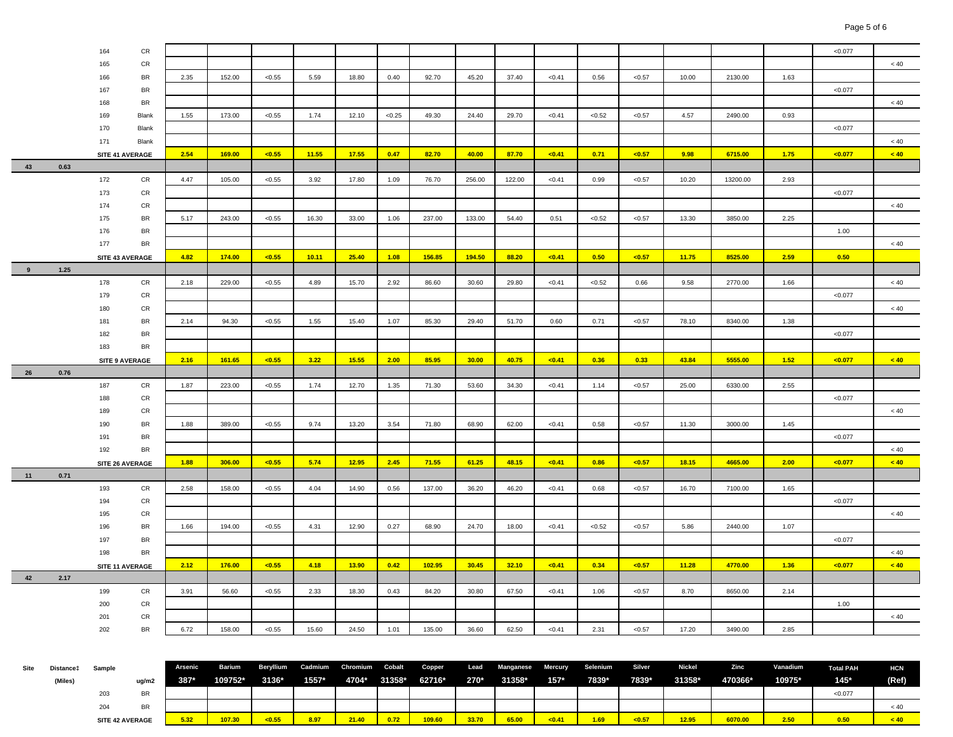|      |           | 164                   | CR          |                |         |           |         |          |        |        |        |           |                |          |        |               |          |          | < 0.077           |            |
|------|-----------|-----------------------|-------------|----------------|---------|-----------|---------|----------|--------|--------|--------|-----------|----------------|----------|--------|---------------|----------|----------|-------------------|------------|
|      |           | 165                   | CR          |                |         |           |         |          |        |        |        |           |                |          |        |               |          |          |                   | < 40       |
|      |           | 166                   | BR          | 2.35           | 152.00  | < 0.55    | 5.59    | 18.80    | 0.40   | 92.70  | 45.20  | 37.40     | < 0.41         | 0.56     | < 0.57 | 10.00         | 2130.00  | 1.63     |                   |            |
|      |           | 167                   | BR          |                |         |           |         |          |        |        |        |           |                |          |        |               |          |          | < 0.077           |            |
|      |           | 168                   | BR          |                |         |           |         |          |        |        |        |           |                |          |        |               |          |          |                   | < 40       |
|      |           | 169                   | Blank       | 1.55           | 173.00  | < 0.55    | 1.74    | 12.10    | < 0.25 | 49.30  | 24.40  | 29.70     | < 0.41         | < 0.52   | < 0.57 | 4.57          | 2490.00  | 0.93     |                   |            |
|      |           | 170                   | Blank       |                |         |           |         |          |        |        |        |           |                |          |        |               |          |          | < 0.077           |            |
|      |           | 171                   | Blank       |                |         |           |         |          |        |        |        |           |                |          |        |               |          |          |                   | < 40       |
|      |           | SITE 41 AVERAGE       |             | 2.54           | 169.00  | < 0.55    | 11.55   | 17.55    | 0.47   | 82.70  | 40.00  | 87.70     | < 0.41         | 0.71     | < 0.57 | 9.98          | 6715.00  | 1.75     | $0.077$           | < 40       |
| 43   | 0.63      |                       |             |                |         |           |         |          |        |        |        |           |                |          |        |               |          |          |                   |            |
|      |           | 172                   | CR          | 4.47           | 105.00  | < 0.55    | 3.92    | 17.80    | 1.09   | 76.70  | 256.00 | 122.00    | < 0.41         | 0.99     | < 0.57 | 10.20         | 13200.00 | 2.93     |                   |            |
|      |           | 173                   | CR          |                |         |           |         |          |        |        |        |           |                |          |        |               |          |          | < 0.077           |            |
|      |           | 174                   | CR          |                |         |           |         |          |        |        |        |           |                |          |        |               |          |          |                   | $< 40\,$   |
|      |           | 175                   | BR          | 5.17           | 243.00  | < 0.55    | 16.30   | 33.00    | 1.06   | 237.00 | 133.00 | 54.40     | 0.51           | < 0.52   | < 0.57 | 13.30         | 3850.00  | 2.25     |                   |            |
|      |           | 176                   | BR          |                |         |           |         |          |        |        |        |           |                |          |        |               |          |          | 1.00              |            |
|      |           | 177                   | BR          |                |         |           |         |          |        |        |        |           |                |          |        |               |          |          |                   | < 40       |
|      |           |                       |             | 4.82           |         |           |         |          | 1.08   |        |        |           |                | 0.50     |        |               | 8525.00  | 2.59     |                   |            |
| 9    | 1.25      | SITE 43 AVERAGE       |             |                | 174.00  | < 0.55    | 10.11   | 25.40    |        | 156.85 | 194.50 | 88.20     | $0.41$         |          | < 0.57 | 11.75         |          |          | 0.50              |            |
|      |           |                       |             |                |         |           | 4.89    |          |        | 86.60  |        |           |                |          |        |               | 2770.00  |          |                   |            |
|      |           | 178                   | CR          | 2.18           | 229.00  | < 0.55    |         | 15.70    | 2.92   |        | 30.60  | 29.80     | < 0.41         | < 0.52   | 0.66   | 9.58          |          | 1.66     |                   | < 40       |
|      |           | 179                   | CR          |                |         |           |         |          |        |        |        |           |                |          |        |               |          |          | < 0.077           |            |
|      |           | 180                   | CR          |                |         |           |         |          |        |        |        |           |                |          |        |               |          |          |                   | < 40       |
|      |           | 181                   | BR          | 2.14           | 94.30   | < 0.55    | 1.55    | 15.40    | 1.07   | 85.30  | 29.40  | 51.70     | 0.60           | 0.71     | < 0.57 | 78.10         | 8340.00  | 1.38     |                   |            |
|      |           | 182                   | BR          |                |         |           |         |          |        |        |        |           |                |          |        |               |          |          | < 0.077           |            |
|      |           | 183                   | BR          |                |         |           |         |          |        |        |        |           |                |          |        |               |          |          |                   |            |
|      |           | <b>SITE 9 AVERAGE</b> |             | 2.16           | 161.65  | < 0.55    | 3.22    | 15.55    | 2.00   | 85.95  | 30.00  | 40.75     | < 0.41         | 0.36     | 0.33   | 43.84         | 5555.00  | 1.52     | < 0.077           | < 40       |
| 26   | 0.76      |                       |             |                |         |           |         |          |        |        |        |           |                |          |        |               |          |          |                   |            |
|      |           |                       |             |                |         |           |         |          |        |        |        |           |                |          |        |               |          |          |                   |            |
|      |           | 187                   | CR          | 1.87           | 223.00  | < 0.55    | 1.74    | 12.70    | 1.35   | 71.30  | 53.60  | 34.30     | < 0.41         | 1.14     | < 0.57 | 25.00         | 6330.00  | 2.55     |                   |            |
|      |           | 188                   | CR          |                |         |           |         |          |        |        |        |           |                |          |        |               |          |          | < 0.077           |            |
|      |           | 189                   | CR          |                |         |           |         |          |        |        |        |           |                |          |        |               |          |          |                   | < 40       |
|      |           | 190                   | BR          | 1.88           | 389.00  | < 0.55    | 9.74    | 13.20    | 3.54   | 71.80  | 68.90  | 62.00     | < 0.41         | 0.58     | < 0.57 | 11.30         | 3000.00  | 1.45     |                   |            |
|      |           | 191                   | BR          |                |         |           |         |          |        |        |        |           |                |          |        |               |          |          | < 0.077           |            |
|      |           | 192                   | BR          |                |         |           |         |          |        |        |        |           |                |          |        |               |          |          |                   | < 40       |
|      |           | SITE 26 AVERAGE       |             | 1.88           | 306.00  | < 0.55    | 5.74    | 12.95    | 2.45   | 71.55  | 61.25  | 48.15     | $0.41$         | 0.86     | < 0.57 | 18.15         | 4665.00  | 2.00     | $0.077$           | < 40       |
| 11   | 0.71      |                       |             |                |         |           |         |          |        |        |        |           |                |          |        |               |          |          |                   |            |
|      |           | 193                   | CR          | 2.58           | 158.00  | < 0.55    | 4.04    | 14.90    | 0.56   | 137.00 | 36.20  | 46.20     | < 0.41         | 0.68     | < 0.57 | 16.70         | 7100.00  | 1.65     |                   |            |
|      |           | 194                   | CR          |                |         |           |         |          |        |        |        |           |                |          |        |               |          |          | < 0.077           |            |
|      |           | 195                   | CR          |                |         |           |         |          |        |        |        |           |                |          |        |               |          |          |                   | < 40       |
|      |           | 196                   | BR          | 1.66           | 194.00  | < 0.55    | 4.31    | 12.90    | 0.27   | 68.90  | 24.70  | 18.00     | < 0.41         | < 0.52   | < 0.57 | 5.86          | 2440.00  | 1.07     |                   |            |
|      |           | 197                   | BR          |                |         |           |         |          |        |        |        |           |                |          |        |               |          |          | < 0.077           |            |
|      |           | 198                   | BR          |                |         |           |         |          |        |        |        |           |                |          |        |               |          |          |                   | < 40       |
|      |           | SITE 11 AVERAGE       |             | 2.12           | 176.00  | < 0.55    | 4.18    | 13.90    | 0.42   | 102.95 | 30.45  | 32.10     | < 0.41         | 0.34     | < 0.57 | 11.28         | 4770.00  | 1.36     | $0.077$           | < 40       |
| 42   | 2.17      |                       |             |                |         |           |         |          |        |        |        |           |                |          |        |               |          |          |                   |            |
|      |           | 199                   | CR          | 3.91           | 56.60   | < 0.55    | 2.33    | 18.30    | 0.43   | 84.20  | 30.80  | 67.50     | < 0.41         | 1.06     | < 0.57 | 8.70          | 8650.00  | 2.14     |                   |            |
|      |           | 200                   | CR          |                |         |           |         |          |        |        |        |           |                |          |        |               |          |          | 1.00              |            |
|      |           | 201                   | CR          |                |         |           |         |          |        |        |        |           |                |          |        |               |          |          |                   | < 40       |
|      |           | 202                   | BR          | 6.72           | 158.00  | < 0.55    | 15.60   | 24.50    | 1.01   | 135.00 | 36.60  | 62.50     | < 0.41         | 2.31     | < 0.57 | 17.20         | 3490.00  | 2.85     |                   |            |
|      |           |                       |             |                |         |           |         |          |        |        |        |           |                |          |        |               |          |          |                   |            |
|      |           |                       |             |                |         |           |         |          |        |        |        |           |                |          |        |               |          |          |                   |            |
| Site | Distance‡ | Sample                |             | <b>Arsenic</b> | Barium  | Beryllium | Cadmium | Chromium | Cobalt | Copper | Lead   | Manganese | <b>Mercury</b> | Selenium | Silver | <b>Nickel</b> | Zinc     | Vanadium | <b>Total PAH</b>  | <b>HCN</b> |
|      | (Miles)   | 203                   | ug/m2<br>BR | 387*           | 109752* | 3136*     | 1557*   | 4704*    | 31358* | 62716* | 270*   | 31358*    | $157*$         | 7839*    | 7839*  | 31358*        | 470366*  | 10975*   | $145*$<br>< 0.077 | (Ref)      |

 < 40 5.32 | 107.30 | <0.55 | 8.97 | 21.40 | 0.72 | 109.60 | 33.70 | 65.00 | <0.41 | 1.69 | <0.57 | 12.95 | 6070.00 | 2.50 | 0.50 | <40

204 BR

**SITE 42 AVERAGE**

 $< 40$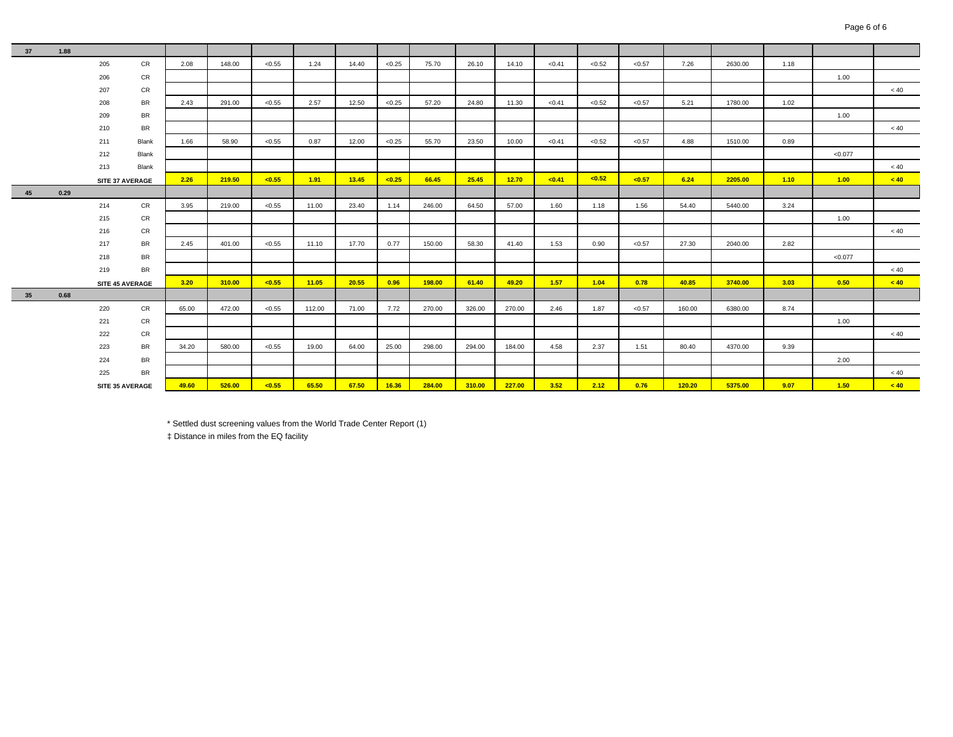| 37 | 1.88 |     |                 |       |        |        |        |       |        |        |        |        |        |        |        |        |         |      |         |      |
|----|------|-----|-----------------|-------|--------|--------|--------|-------|--------|--------|--------|--------|--------|--------|--------|--------|---------|------|---------|------|
|    |      | 205 | CR              | 2.08  | 148.00 | < 0.55 | 1.24   | 14.40 | < 0.25 | 75.70  | 26.10  | 14.10  | < 0.41 | < 0.52 | < 0.57 | 7.26   | 2630.00 | 1.18 |         |      |
|    |      | 206 | CR              |       |        |        |        |       |        |        |        |        |        |        |        |        |         |      | 1.00    |      |
|    |      | 207 | CR              |       |        |        |        |       |        |        |        |        |        |        |        |        |         |      |         | < 40 |
|    |      | 208 | BR              | 2.43  | 291.00 | < 0.55 | 2.57   | 12.50 | < 0.25 | 57.20  | 24.80  | 11.30  | < 0.41 | < 0.52 | < 0.57 | 5.21   | 1780.00 | 1.02 |         |      |
|    |      | 209 | <b>BR</b>       |       |        |        |        |       |        |        |        |        |        |        |        |        |         |      | 1.00    |      |
|    |      | 210 | BR              |       |        |        |        |       |        |        |        |        |        |        |        |        |         |      |         | < 40 |
|    |      | 211 | Blank           | 1.66  | 58.90  | < 0.55 | 0.87   | 12.00 | < 0.25 | 55.70  | 23.50  | 10.00  | < 0.41 | < 0.52 | < 0.57 | 4.88   | 1510.00 | 0.89 |         |      |
|    |      | 212 | Blank           |       |        |        |        |       |        |        |        |        |        |        |        |        |         |      | < 0.077 |      |
|    |      | 213 | Blank           |       |        |        |        |       |        |        |        |        |        |        |        |        |         |      |         | < 40 |
|    |      |     | SITE 37 AVERAGE | 2.26  | 219.50 | < 0.55 | 1.91   | 13.45 | < 0.25 | 66.45  | 25.45  | 12.70  | < 0.41 | < 0.52 | < 0.57 | 6.24   | 2205.00 | 1.10 | 1.00    | < 40 |
| 45 | 0.29 |     |                 |       |        |        |        |       |        |        |        |        |        |        |        |        |         |      |         |      |
|    |      | 214 | CR              | 3.95  | 219.00 | < 0.55 | 11.00  | 23.40 | 1.14   | 246.00 | 64.50  | 57.00  | 1.60   | 1.18   | 1.56   | 54.40  | 5440.00 | 3.24 |         |      |
|    |      | 215 | CR              |       |        |        |        |       |        |        |        |        |        |        |        |        |         |      | 1.00    |      |
|    |      | 216 | CR              |       |        |        |        |       |        |        |        |        |        |        |        |        |         |      |         | < 40 |
|    |      | 217 | BR              | 2.45  | 401.00 | < 0.55 | 11.10  | 17.70 | 0.77   | 150.00 | 58.30  | 41.40  | 1.53   | 0.90   | < 0.57 | 27.30  | 2040.00 | 2.82 |         |      |
|    |      | 218 | <b>BR</b>       |       |        |        |        |       |        |        |        |        |        |        |        |        |         |      | < 0.077 |      |
|    |      | 219 | <b>BR</b>       |       |        |        |        |       |        |        |        |        |        |        |        |        |         |      |         | < 40 |
|    |      |     | SITE 45 AVERAGE | 3.20  | 310.00 | < 0.55 | 11.05  | 20.55 | 0.96   | 198.00 | 61.40  | 49.20  | 1.57   | 1.04   | 0.78   | 40.85  | 3740.00 | 3.03 | 0.50    | < 40 |
| 35 | 0.68 |     |                 |       |        |        |        |       |        |        |        |        |        |        |        |        |         |      |         |      |
|    |      | 220 | CR              | 65.00 | 472.00 | < 0.55 | 112.00 | 71.00 | 7.72   | 270.00 | 326.00 | 270.00 | 2.46   | 1.87   | < 0.57 | 160.00 | 6380.00 | 8.74 |         |      |
|    |      | 221 | CR              |       |        |        |        |       |        |        |        |        |        |        |        |        |         |      | 1.00    |      |
|    |      | 222 | CR              |       |        |        |        |       |        |        |        |        |        |        |        |        |         |      |         | < 40 |
|    |      | 223 | BR              | 34.20 | 580.00 | < 0.55 | 19.00  | 64.00 | 25.00  | 298.00 | 294.00 | 184.00 | 4.58   | 2.37   | 1.51   | 80.40  | 4370.00 | 9.39 |         |      |
|    |      | 224 | BR              |       |        |        |        |       |        |        |        |        |        |        |        |        |         |      | 2.00    |      |
|    |      | 225 | <b>BR</b>       |       |        |        |        |       |        |        |        |        |        |        |        |        |         |      |         | < 40 |
|    |      |     | SITE 35 AVERAGE | 49.60 | 526.00 | < 0.55 | 65.50  | 67.50 | 16.36  | 284.00 | 310.00 | 227.00 | 3.52   | 2.12   | 0.76   | 120.20 | 5375.00 | 9.07 | 1.50    | < 40 |

\* Settled dust screening values from the World Trade Center Report (1)

‡ Distance in miles from the EQ facility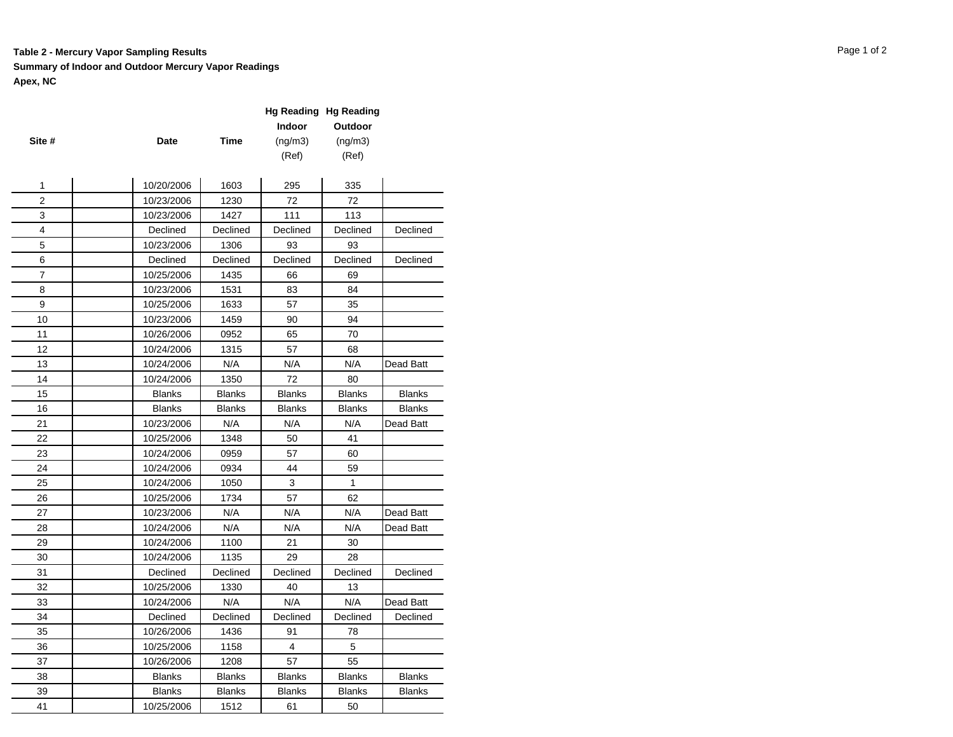#### **Table 2 - Mercury Vapor Sampling Results** Page 1 of 2

#### **Summary of Indoor and Outdoor Mercury Vapor Readings Apex, NC**

|        |               |               | <b>Hg Reading Hg Reading</b> |               |               |
|--------|---------------|---------------|------------------------------|---------------|---------------|
|        |               |               | Indoor                       | Outdoor       |               |
| Site # | Date          | Time          | (ng/m3)                      | (ng/m3)       |               |
|        |               |               | (Ref)                        | (Ref)         |               |
|        |               |               |                              |               |               |
| 1      | 10/20/2006    | 1603          | 295                          | 335           |               |
| 2      | 10/23/2006    | 1230          | 72                           | 72            |               |
| 3      | 10/23/2006    | 1427          | 111                          | 113           |               |
| 4      | Declined      | Declined      | Declined                     | Declined      | Declined      |
| 5      | 10/23/2006    | 1306          | 93                           | 93            |               |
| 6      | Declined      | Declined      | Declined                     | Declined      | Declined      |
| 7      | 10/25/2006    | 1435          | 66                           | 69            |               |
| 8      | 10/23/2006    | 1531          | 83                           | 84            |               |
| 9      | 10/25/2006    | 1633          | 57                           | 35            |               |
| 10     | 10/23/2006    | 1459          | 90                           | 94            |               |
| 11     | 10/26/2006    | 0952          | 65                           | 70            |               |
| 12     | 10/24/2006    | 1315          | 57                           | 68            |               |
| 13     | 10/24/2006    | N/A           | N/A                          | N/A           | Dead Batt     |
| 14     | 10/24/2006    | 1350          | 72                           | 80            |               |
| 15     | <b>Blanks</b> | <b>Blanks</b> | <b>Blanks</b>                | <b>Blanks</b> | <b>Blanks</b> |
| 16     | <b>Blanks</b> | <b>Blanks</b> | Blanks                       | <b>Blanks</b> | <b>Blanks</b> |
| 21     | 10/23/2006    | N/A           | N/A                          | N/A           | Dead Batt     |
| 22     | 10/25/2006    | 1348          | 50                           | 41            |               |
| 23     | 10/24/2006    | 0959          | 57                           | 60            |               |
| 24     | 10/24/2006    | 0934          | 44                           | 59            |               |
| 25     | 10/24/2006    | 1050          | 3                            | 1             |               |
| 26     | 10/25/2006    | 1734          | 57                           | 62            |               |
| 27     | 10/23/2006    | N/A           | N/A                          | N/A           | Dead Batt     |
| 28     | 10/24/2006    | N/A           | N/A                          | N/A           | Dead Batt     |
| 29     | 10/24/2006    | 1100          | 21                           | 30            |               |
| 30     | 10/24/2006    | 1135          | 29                           | 28            |               |
| 31     | Declined      | Declined      | Declined                     | Declined      | Declined      |
| 32     | 10/25/2006    | 1330          | 40                           | 13            |               |
| 33     | 10/24/2006    | N/A           | N/A                          | N/A           | Dead Batt     |
| 34     | Declined      | Declined      | Declined                     | Declined      | Declined      |
| 35     | 10/26/2006    | 1436          | 91                           | 78            |               |
| 36     | 10/25/2006    | 1158          | 4                            | 5             |               |
| 37     | 10/26/2006    | 1208          | 57                           | 55            |               |
| 38     | <b>Blanks</b> | <b>Blanks</b> | <b>Blanks</b>                | <b>Blanks</b> | <b>Blanks</b> |
| 39     | <b>Blanks</b> | <b>Blanks</b> | Blanks                       | <b>Blanks</b> | <b>Blanks</b> |
| 41     | 10/25/2006    | 1512          | 61                           | 50            |               |